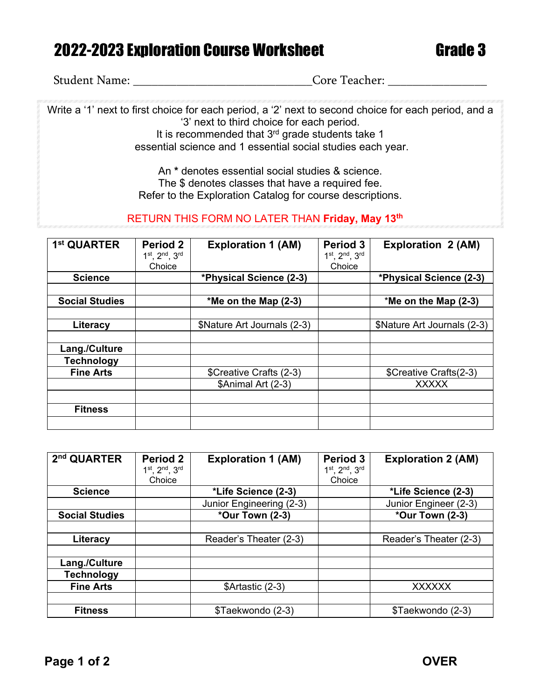## 2022-2023 Exploration Course Worksheet Grade 3

Student Name: \_\_\_\_\_\_\_\_\_\_\_\_\_\_\_\_\_\_\_\_\_\_\_\_\_\_\_\_\_Core Teacher: \_\_\_\_\_\_\_\_\_\_\_\_\_\_\_\_

Write a '1' next to first choice for each period, a '2' next to second choice for each period, and a '3' next to third choice for each period. It is recommended that 3<sup>rd</sup> grade students take 1 essential science and 1 essential social studies each year.

> An **\*** denotes essential social studies & science. The \$ denotes classes that have a required fee. Refer to the Exploration Catalog for course descriptions.

## RETURN THIS FORM NO LATER THAN **Friday, May 13th**

| 1 <sup>st</sup> QUARTER | Period 2<br>1st. 2nd. 3rd | <b>Exploration 1 (AM)</b>   | Period 3<br>1st, 2nd, 3rd | <b>Exploration 2 (AM)</b>   |
|-------------------------|---------------------------|-----------------------------|---------------------------|-----------------------------|
|                         | Choice                    |                             | Choice                    |                             |
| <b>Science</b>          |                           | *Physical Science (2-3)     |                           | *Physical Science (2-3)     |
|                         |                           |                             |                           |                             |
| <b>Social Studies</b>   |                           | *Me on the Map $(2-3)$      |                           | $*$ Me on the Map (2-3)     |
|                         |                           |                             |                           |                             |
| Literacy                |                           | \$Nature Art Journals (2-3) |                           | \$Nature Art Journals (2-3) |
|                         |                           |                             |                           |                             |
| Lang./Culture           |                           |                             |                           |                             |
| <b>Technology</b>       |                           |                             |                           |                             |
| <b>Fine Arts</b>        |                           | \$Creative Crafts (2-3)     |                           | \$Creative Crafts(2-3)      |
|                         |                           | \$Animal Art (2-3)          |                           | <b>XXXXX</b>                |
|                         |                           |                             |                           |                             |
| <b>Fitness</b>          |                           |                             |                           |                             |
|                         |                           |                             |                           |                             |

| 2 <sup>nd</sup> QUARTER | <b>Period 2</b>         | <b>Exploration 1 (AM)</b> | Period 3                | <b>Exploration 2 (AM)</b> |
|-------------------------|-------------------------|---------------------------|-------------------------|---------------------------|
|                         | 1st, 2nd, 3rd<br>Choice |                           | 1st, 2nd, 3rd<br>Choice |                           |
| <b>Science</b>          |                         | *Life Science (2-3)       |                         | *Life Science (2-3)       |
|                         |                         | Junior Engineering (2-3)  |                         | Junior Engineer (2-3)     |
| <b>Social Studies</b>   |                         | *Our Town (2-3)           |                         | *Our Town (2-3)           |
|                         |                         |                           |                         |                           |
| Literacy                |                         | Reader's Theater (2-3)    |                         | Reader's Theater (2-3)    |
|                         |                         |                           |                         |                           |
| Lang./Culture           |                         |                           |                         |                           |
| <b>Technology</b>       |                         |                           |                         |                           |
| <b>Fine Arts</b>        |                         | \$Artastic (2-3)          |                         | <b>XXXXXX</b>             |
|                         |                         |                           |                         |                           |
| <b>Fitness</b>          |                         | \$Taekwondo (2-3)         |                         | \$Taekwondo (2-3)         |